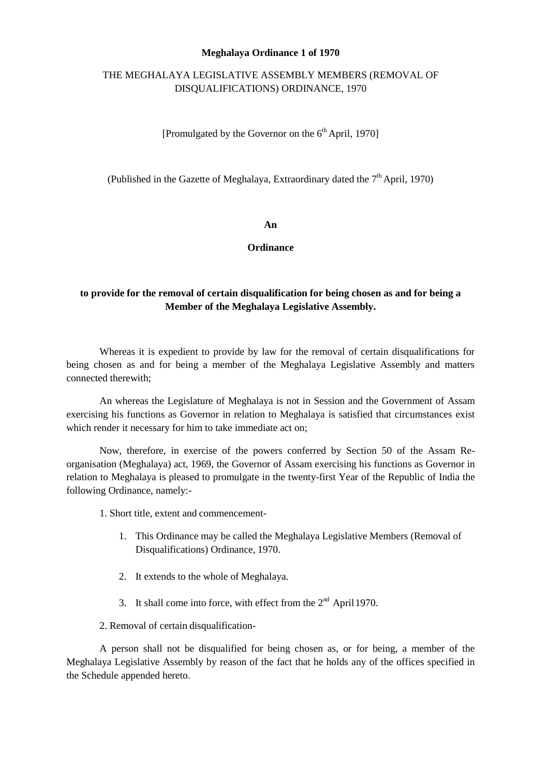### **Meghalaya Ordinance 1 of 1970**

# THE MEGHALAYA LEGISLATIVE ASSEMBLY MEMBERS (REMOVAL OF DISQUALIFICATIONS) ORDINANCE, 1970

[Promulgated by the Governor on the  $6<sup>th</sup>$  April, 1970]

(Published in the Gazette of Meghalaya, Extraordinary dated the  $7<sup>th</sup>$  April, 1970)

#### **An**

**Ordinance** 

# **to provide for the removal of certain disqualification for being chosen as and for being a Member of the Meghalaya Legislative Assembly.**

Whereas it is expedient to provide by law for the removal of certain disqualifications for being chosen as and for being a member of the Meghalaya Legislative Assembly and matters connected therewith;

An whereas the Legislature of Meghalaya is not in Session and the Government of Assam exercising his functions as Governor in relation to Meghalaya is satisfied that circumstances exist which render it necessary for him to take immediate act on;

Now, therefore, in exercise of the powers conferred by Section 50 of the Assam Reorganisation (Meghalaya) act, 1969, the Governor of Assam exercising his functions as Governor in relation to Meghalaya is pleased to promulgate in the twenty-first Year of the Republic of India the following Ordinance, namely:

- 1. Short title, extent and commencement-
	- 1. This Ordinance may be called the Meghalaya Legislative Members (Removal of Disqualifications) Ordinance, 1970.
	- 2. It extends to the whole of Meghalaya.
	- 3. It shall come into force, with effect from the  $2<sup>nd</sup>$  April 1970.
- 2. Removal of certain disqualification-

A person shall not be disqualified for being chosen as, or for being, a member of the Meghalaya Legislative Assembly by reason of the fact that he holds any of the offices specified in the Schedule appended hereto.